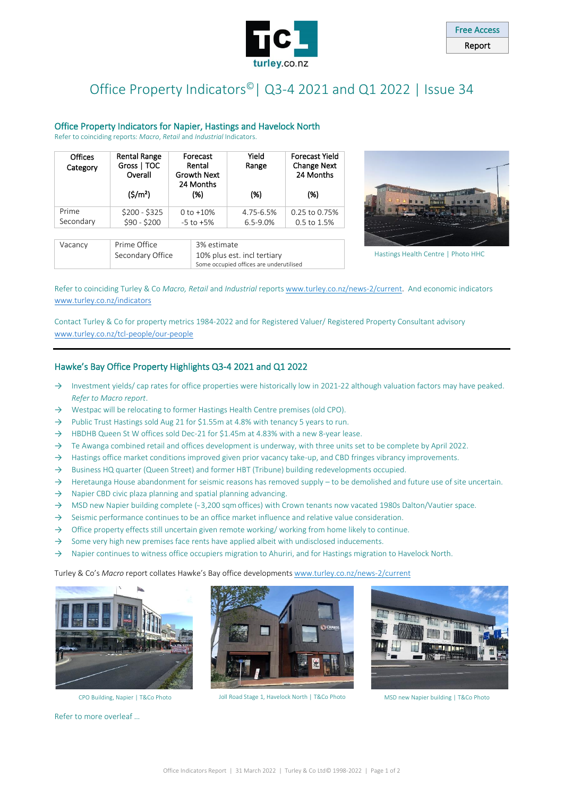

## Office Property Indicators<sup>®</sup> | Q3-4 2021 and Q1 2022 | Issue 34

#### Office Property Indicators for Napier, Hastings and Havelock North

Refer to coinciding reports: *Macro*, *Retail* and *Industrial* Indicators.

| <b>Offices</b><br>Category | <b>Rental Range</b><br>Gross   TOC<br>Overall<br>(S/m <sup>2</sup> ) | Forecast<br>Rental<br><b>Growth Next</b><br>24 Months<br>(%) |                                            | Yield<br>Range<br>(%) | <b>Forecast Yield</b><br><b>Change Next</b><br>24 Months<br>(% ) |
|----------------------------|----------------------------------------------------------------------|--------------------------------------------------------------|--------------------------------------------|-----------------------|------------------------------------------------------------------|
| Prime                      | $$200 - $325$                                                        | $0 to +10%$                                                  |                                            | 4.75-6.5%             | 0.25 to 0.75%                                                    |
| Secondary                  | \$90 - \$200                                                         | $-5$ to $+5\%$                                               |                                            | $6.5 - 9.0%$          | 0.5 to 1.5%                                                      |
|                            |                                                                      |                                                              |                                            |                       |                                                                  |
| Vacancy                    | Prime Office<br>Secondary Office                                     |                                                              | 3% estimate<br>10% plus est. incl tertiary |                       |                                                                  |
|                            |                                                                      |                                                              | Some occupied offices are underutilised    |                       |                                                                  |



Hastings Health Centre | Photo HHC

Refer to coinciding Turley & Co *Macro, Retail* and *Industrial* report[s www.turley.co.nz/news-2/current.](http://www.turley.co.nz/news-2/current) And economic indicators [www.turley.co.nz/indicators](https://turley.co.nz/indicators/)

Contact Turley & Co for property metrics 1984-2022 and for Registered Valuer/ Registered Property Consultant advisory [www.turley.co.nz/tcl-people/our-people](http://turley.co.nz/tcl-people/our-people/)

#### Hawke's Bay Office Property Highlights Q3-4 2021 and Q1 2022

- → Investment yields/ cap rates for office properties were historically low in 2021-22 although valuation factors may have peaked. *Refer to Macro report*.
- → Westpac will be relocating to former Hastings Health Centre premises (old CPO).
- → Public Trust Hastings sold Aug 21 for \$1.55m at 4.8% with tenancy 5 years to run.
- → HBDHB Queen St W offices sold Dec-21 for \$1.45m at 4.83% with a new 8-year lease.
- $\rightarrow$  Te Awanga combined retail and offices development is underway, with three units set to be complete by April 2022.
- → Hastings office market conditions improved given prior vacancy take-up, and CBD fringes vibrancy improvements.
- → Business HQ quarter (Queen Street) and former HBT (Tribune) building redevelopments occupied.
- $\rightarrow$  Heretaunga House abandonment for seismic reasons has removed supply to be demolished and future use of site uncertain.
- $\rightarrow$  Napier CBD civic plaza planning and spatial planning advancing.
- → MSD new Napier building complete (~3,200 sqm offices) with Crown tenants now vacated 1980s Dalton/Vautier space.
- $\rightarrow$  Seismic performance continues to be an office market influence and relative value consideration.
- → Office property effects still uncertain given remote working/ working from home likely to continue.
- $\rightarrow$  Some very high new premises face rents have applied albeit with undisclosed inducements.
- → Napier continues to witness office occupiers migration to Ahuriri, and for Hastings migration to Havelock North.

Turley & Co's *Macro* report collates Hawke's Bay office development[s www.turley.co.nz/news-2/current](https://turley.co.nz/news-2/current/)



Refer to more overleaf …



CPO Building, Napier | T&Co Photo Joll Road Stage 1, Havelock North | T&Co Photo MSD new Napier building | T&Co Photo